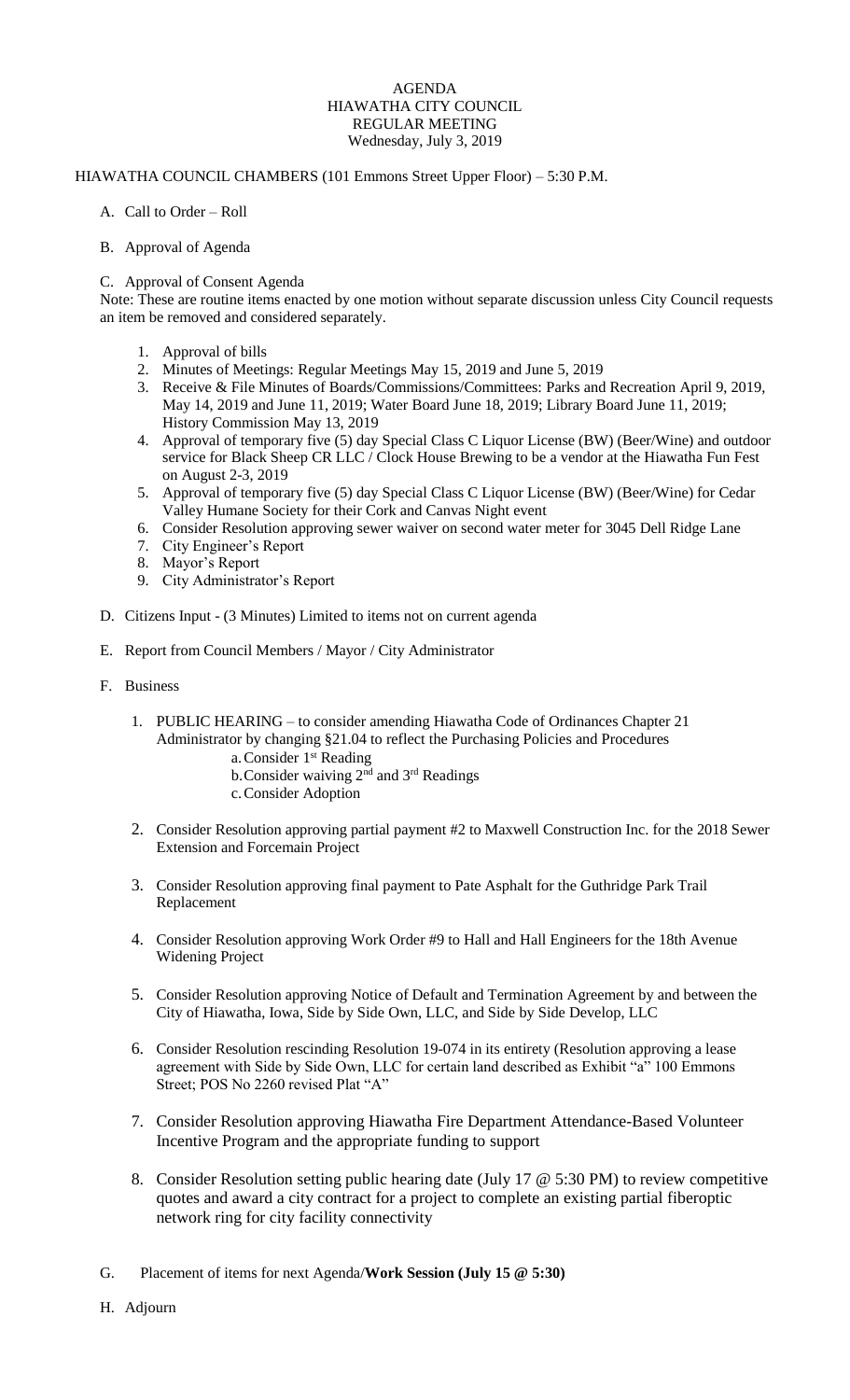# AGENDA HIAWATHA CITY COUNCIL REGULAR MEETING Wednesday, July 3, 2019

## HIAWATHA COUNCIL CHAMBERS (101 Emmons Street Upper Floor) – 5:30 P.M.

# A. Call to Order – Roll

# B. Approval of Agenda

# C. Approval of Consent Agenda

Note: These are routine items enacted by one motion without separate discussion unless City Council requests an item be removed and considered separately.

- 1. Approval of bills
- 2. Minutes of Meetings: Regular Meetings May 15, 2019 and June 5, 2019
- 3. Receive & File Minutes of Boards/Commissions/Committees: Parks and Recreation April 9, 2019, May 14, 2019 and June 11, 2019; Water Board June 18, 2019; Library Board June 11, 2019; History Commission May 13, 2019
- 4. Approval of temporary five (5) day Special Class C Liquor License (BW) (Beer/Wine) and outdoor service for Black Sheep CR LLC / Clock House Brewing to be a vendor at the Hiawatha Fun Fest on August 2-3, 2019
- 5. Approval of temporary five (5) day Special Class C Liquor License (BW) (Beer/Wine) for Cedar Valley Humane Society for their Cork and Canvas Night event
- 6. Consider Resolution approving sewer waiver on second water meter for 3045 Dell Ridge Lane
- 7. City Engineer's Report
- 8. Mayor's Report
- 9. City Administrator's Report
- D. Citizens Input (3 Minutes) Limited to items not on current agenda
- E. Report from Council Members / Mayor / City Administrator
- F. Business
	- 1. PUBLIC HEARING to consider amending Hiawatha Code of Ordinances Chapter 21 Administrator by changing §21.04 to reflect the Purchasing Policies and Procedures
		- a. Consider 1<sup>st</sup> Reading
		- b. Consider waiving 2<sup>nd</sup> and 3<sup>rd</sup> Readings
		- c.Consider Adoption
	- 2. Consider Resolution approving partial payment #2 to Maxwell Construction Inc. for the 2018 Sewer Extension and Forcemain Project
	- 3. Consider Resolution approving final payment to Pate Asphalt for the Guthridge Park Trail Replacement
	- 4. Consider Resolution approving Work Order #9 to Hall and Hall Engineers for the 18th Avenue Widening Project
	- 5. Consider Resolution approving Notice of Default and Termination Agreement by and between the City of Hiawatha, Iowa, Side by Side Own, LLC, and Side by Side Develop, LLC
	- 6. Consider Resolution rescinding Resolution 19-074 in its entirety (Resolution approving a lease agreement with Side by Side Own, LLC for certain land described as Exhibit "a" 100 Emmons Street; POS No 2260 revised Plat "A"
	- 7. Consider Resolution approving Hiawatha Fire Department Attendance-Based Volunteer Incentive Program and the appropriate funding to support
	- 8. Consider Resolution setting public hearing date (July 17 @ 5:30 PM) to review competitive quotes and award a city contract for a project to complete an existing partial fiberoptic network ring for city facility connectivity
- G. Placement of items for next Agenda/**Work Session (July 15 @ 5:30)**
- H. Adjourn